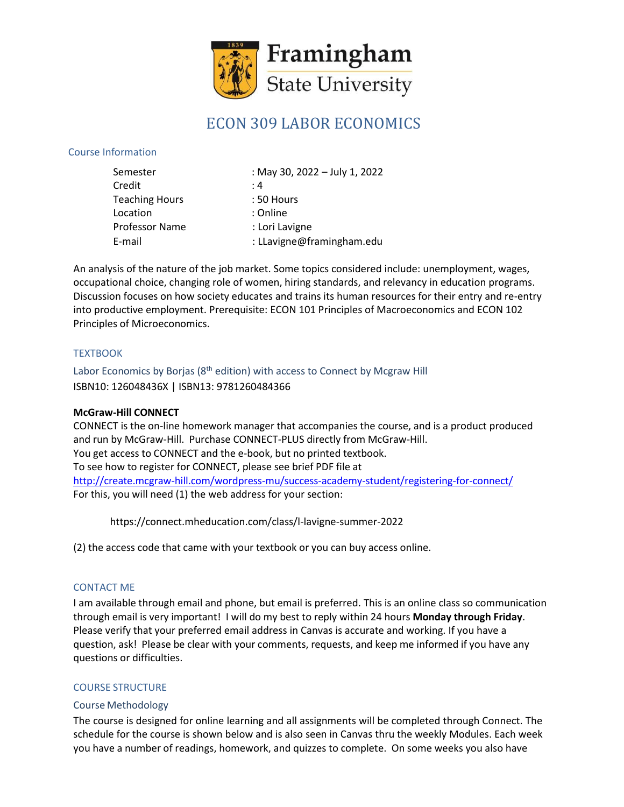

# ECON 309 LABOR ECONOMICS

### Course Information

| Semester              | : May 30, 2022 - July 1, 2022 |
|-----------------------|-------------------------------|
| Credit                | : 4                           |
| <b>Teaching Hours</b> | : 50 Hours                    |
| Location              | : Online                      |
| Professor Name        | : Lori Lavigne                |
| E-mail                | : LLavigne@framingham.edu     |

An analysis of the nature of the job market. Some topics considered include: unemployment, wages, occupational choice, changing role of women, hiring standards, and relevancy in education programs. Discussion focuses on how society educates and trains its human resources for their entry and re-entry into productive employment. Prerequisite: ECON 101 Principles of Macroeconomics and ECON 102 Principles of Microeconomics.

#### **TEXTBOOK**

Labor Economics by Borjas (8<sup>th</sup> edition) with access to Connect by Mcgraw Hill ISBN10: 126048436X | ISBN13: 9781260484366

#### **McGraw-Hill CONNECT**

CONNECT is the on-line homework manager that accompanies the course, and is a product produced and run by McGraw-Hill. Purchase CONNECT-PLUS directly from McGraw-Hill. You get access to CONNECT and the e-book, but no printed textbook. To see how to register for CONNECT, please see brief PDF file at <http://create.mcgraw-hill.com/wordpress-mu/success-academy-student/registering-for-connect/> For this, you will need (1) the web address for your section:

https://connect.mheducation.com/class/l-lavigne-summer-2022

(2) the access code that came with your textbook or you can buy access online.

## CONTACT ME

I am available through email and phone, but email is preferred. This is an online class so communication through email is very important! I will do my best to reply within 24 hours **Monday through Friday**. Please verify that your preferred email address in Canvas is accurate and working. If you have a question, ask! Please be clear with your comments, requests, and keep me informed if you have any questions or difficulties.

#### COURSE STRUCTURE

#### Course Methodology

The course is designed for online learning and all assignments will be completed through Connect. The schedule for the course is shown below and is also seen in Canvas thru the weekly Modules. Each week you have a number of readings, homework, and quizzes to complete. On some weeks you also have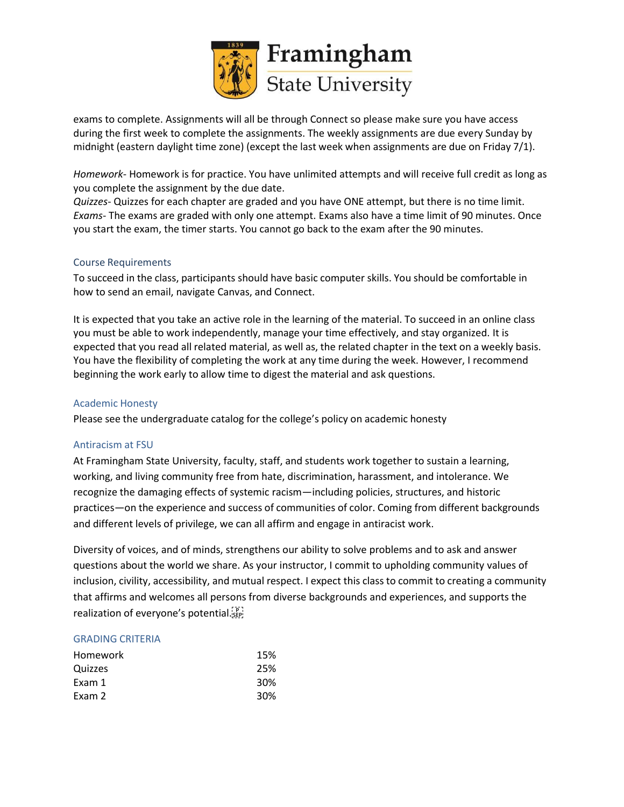

exams to complete. Assignments will all be through Connect so please make sure you have access during the first week to complete the assignments. The weekly assignments are due every Sunday by midnight (eastern daylight time zone) (except the last week when assignments are due on Friday 7/1).

*Homework*- Homework is for practice. You have unlimited attempts and will receive full credit as long as you complete the assignment by the due date.

*Quizzes*- Quizzes for each chapter are graded and you have ONE attempt, but there is no time limit. *Exams*- The exams are graded with only one attempt. Exams also have a time limit of 90 minutes. Once you start the exam, the timer starts. You cannot go back to the exam after the 90 minutes.

#### Course Requirements

To succeed in the class, participants should have basic computer skills. You should be comfortable in how to send an email, navigate Canvas, and Connect.

It is expected that you take an active role in the learning of the material. To succeed in an online class you must be able to work independently, manage your time effectively, and stay organized. It is expected that you read all related material, as well as, the related chapter in the text on a weekly basis. You have the flexibility of completing the work at any time during the week. However, I recommend beginning the work early to allow time to digest the material and ask questions.

#### Academic Honesty

Please see the undergraduate catalog for the college's policy on academic honesty

#### Antiracism at FSU

At Framingham State University, faculty, staff, and students work together to sustain a learning, working, and living community free from hate, discrimination, harassment, and intolerance. We recognize the damaging effects of systemic racism—including policies, structures, and historic practices—on the experience and success of communities of color. Coming from different backgrounds and different levels of privilege, we can all affirm and engage in antiracist work.

Diversity of voices, and of minds, strengthens our ability to solve problems and to ask and answer questions about the world we share. As your instructor, I commit to upholding community values of inclusion, civility, accessibility, and mutual respect. I expect this classto commit to creating a community that affirms and welcomes all persons from diverse backgrounds and experiences, and supports the realization of everyone's potential. EPT

#### GRADING CRITERIA

| 15% |
|-----|
| 25% |
| 30% |
| 30% |
|     |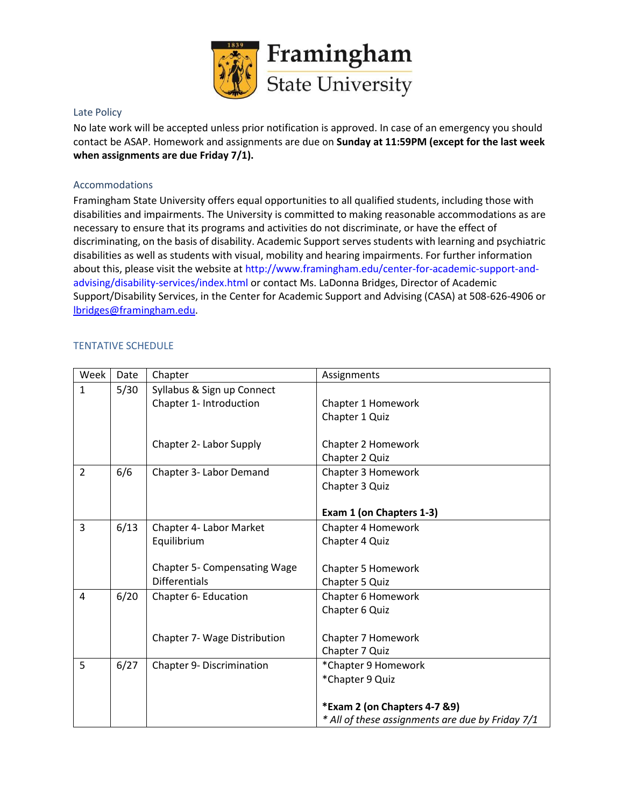

#### Late Policy

No late work will be accepted unless prior notification is approved. In case of an emergency you should contact be ASAP. Homework and assignments are due on **Sunday at 11:59PM (except for the last week when assignments are due Friday 7/1).**

#### Accommodations

Framingham State University offers equal opportunities to all qualified students, including those with disabilities and impairments. The University is committed to making reasonable accommodations as are necessary to ensure that its programs and activities do not discriminate, or have the effect of discriminating, on the basis of disability. Academic Support serves students with learning and psychiatric disabilities as well as students with visual, mobility and hearing impairments. For further information about this, please visit the website a[t http://www.framingham.edu/center-for-academic-support-and](http://www.framingham.edu/center-for-academic-support-and-)advising/disability-services/index.html or contact Ms. LaDonna Bridges, Director of Academic Support/Disability Services, in the Center for Academic Support and Advising (CASA) at 508-626-4906 or [lbridges@framingham.edu.](mailto:lbridges@framingham.edu)

#### TENTATIVE SCHEDULE

| Week           | Date | Chapter                             | Assignments                                      |
|----------------|------|-------------------------------------|--------------------------------------------------|
| $\mathbf{1}$   | 5/30 | Syllabus & Sign up Connect          |                                                  |
|                |      | Chapter 1- Introduction             | Chapter 1 Homework                               |
|                |      |                                     | Chapter 1 Quiz                                   |
|                |      |                                     |                                                  |
|                |      | Chapter 2- Labor Supply             | Chapter 2 Homework                               |
|                |      |                                     | Chapter 2 Quiz                                   |
| $\overline{2}$ | 6/6  | Chapter 3- Labor Demand             | Chapter 3 Homework                               |
|                |      |                                     | Chapter 3 Quiz                                   |
|                |      |                                     |                                                  |
|                |      |                                     | Exam 1 (on Chapters 1-3)                         |
| 3              | 6/13 | Chapter 4- Labor Market             | Chapter 4 Homework                               |
|                |      | Equilibrium                         | Chapter 4 Quiz                                   |
|                |      |                                     |                                                  |
|                |      | <b>Chapter 5- Compensating Wage</b> | <b>Chapter 5 Homework</b>                        |
|                |      | <b>Differentials</b>                | Chapter 5 Quiz                                   |
| 4              | 6/20 | Chapter 6- Education                | Chapter 6 Homework                               |
|                |      |                                     | Chapter 6 Quiz                                   |
|                |      |                                     |                                                  |
|                |      | Chapter 7- Wage Distribution        | Chapter 7 Homework                               |
|                |      |                                     | Chapter 7 Quiz                                   |
| 5              | 6/27 | Chapter 9- Discrimination           | *Chapter 9 Homework                              |
|                |      |                                     | *Chapter 9 Quiz                                  |
|                |      |                                     |                                                  |
|                |      |                                     | *Exam 2 (on Chapters 4-7 &9)                     |
|                |      |                                     | * All of these assignments are due by Friday 7/1 |